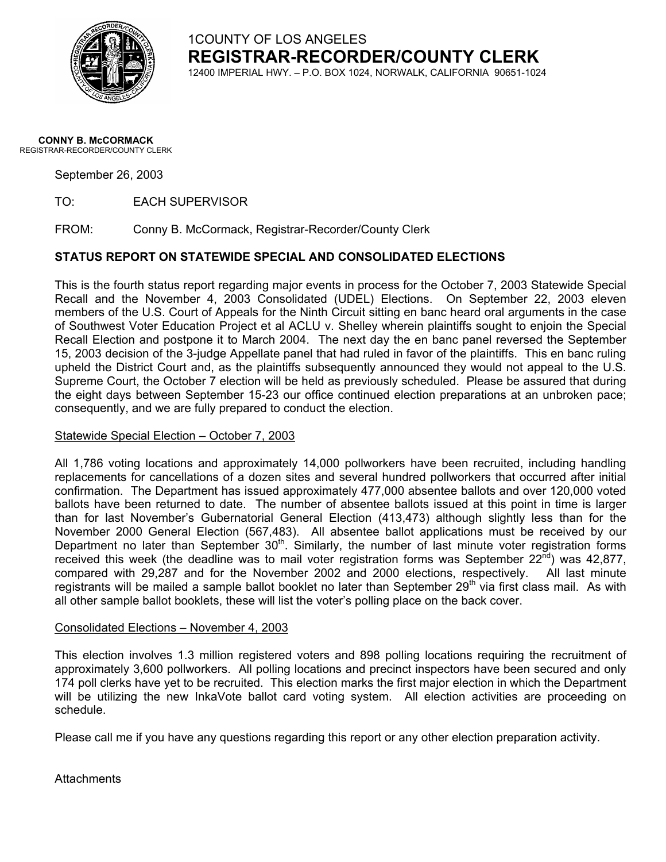

1COUNTY OF LOS ANGELES **REGISTRAR-RECORDER/COUNTY CLERK** 12400 IMPERIAL HWY. – P.O. BOX 1024, NORWALK, CALIFORNIA 90651-1024

#### **CONNY B. McCORMACK** REGISTRAR-RECORDER/COUNTY CLERK

September 26, 2003

TO: EACH SUPERVISOR

FROM: Conny B. McCormack, Registrar-Recorder/County Clerk

### **STATUS REPORT ON STATEWIDE SPECIAL AND CONSOLIDATED ELECTIONS**

This is the fourth status report regarding major events in process for the October 7, 2003 Statewide Special Recall and the November 4, 2003 Consolidated (UDEL) Elections. On September 22, 2003 eleven members of the U.S. Court of Appeals for the Ninth Circuit sitting en banc heard oral arguments in the case of Southwest Voter Education Project et al ACLU v. Shelley wherein plaintiffs sought to enjoin the Special Recall Election and postpone it to March 2004. The next day the en banc panel reversed the September 15, 2003 decision of the 3-judge Appellate panel that had ruled in favor of the plaintiffs. This en banc ruling upheld the District Court and, as the plaintiffs subsequently announced they would not appeal to the U.S. Supreme Court, the October 7 election will be held as previously scheduled. Please be assured that during the eight days between September 15-23 our office continued election preparations at an unbroken pace; consequently, and we are fully prepared to conduct the election.

### Statewide Special Election – October 7, 2003

All 1,786 voting locations and approximately 14,000 pollworkers have been recruited, including handling replacements for cancellations of a dozen sites and several hundred pollworkers that occurred after initial confirmation. The Department has issued approximately 477,000 absentee ballots and over 120,000 voted ballots have been returned to date. The number of absentee ballots issued at this point in time is larger than for last November's Gubernatorial General Election (413,473) although slightly less than for the November 2000 General Election (567,483). All absentee ballot applications must be received by our Department no later than September 30<sup>th</sup>. Similarly, the number of last minute voter registration forms received this week (the deadline was to mail voter registration forms was September  $22^{\overline{n}d}$ ) was 42,877, compared with 29,287 and for the November 2002 and 2000 elections, respectively. All last minute registrants will be mailed a sample ballot booklet no later than September 29<sup>th</sup> via first class mail. As with all other sample ballot booklets, these will list the voter's polling place on the back cover.

#### Consolidated Elections – November 4, 2003

This election involves 1.3 million registered voters and 898 polling locations requiring the recruitment of approximately 3,600 pollworkers. All polling locations and precinct inspectors have been secured and only 174 poll clerks have yet to be recruited. This election marks the first major election in which the Department will be utilizing the new InkaVote ballot card voting system. All election activities are proceeding on schedule.

Please call me if you have any questions regarding this report or any other election preparation activity.

**Attachments**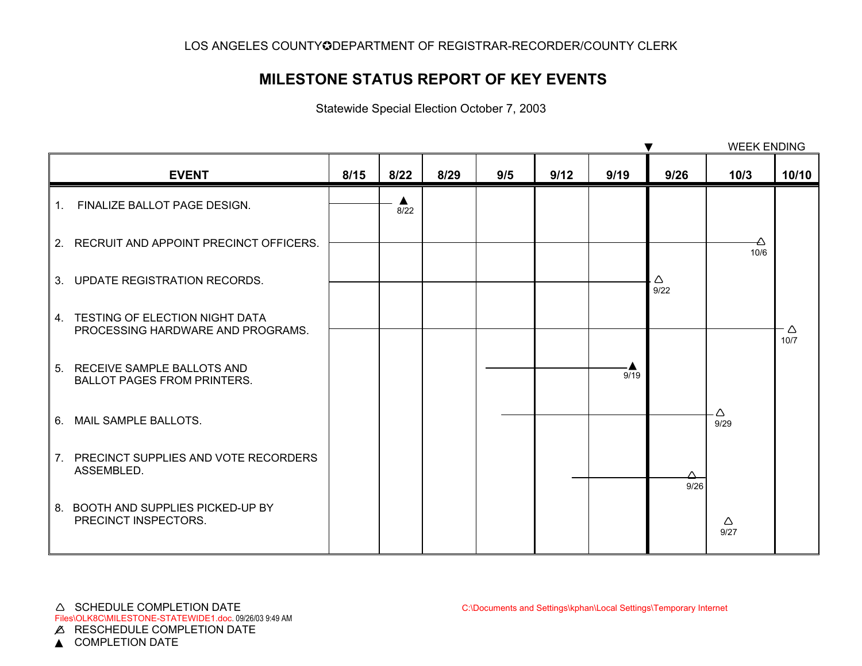## **MILESTONE STATUS REPORT OF KEY EVENTS**

Statewide Special Election October 7, 2003

|              |                                                                        |      |           |      |     |      |      | ▼         | <b>WEEK ENDING</b> |           |
|--------------|------------------------------------------------------------------------|------|-----------|------|-----|------|------|-----------|--------------------|-----------|
|              | <b>EVENT</b>                                                           | 8/15 | 8/22      | 8/29 | 9/5 | 9/12 | 9/19 | 9/26      | 10/3               | 10/10     |
| $1_{\ldots}$ | FINALIZE BALLOT PAGE DESIGN.                                           |      | ▲<br>8/22 |      |     |      |      |           |                    |           |
|              | 2. RECRUIT AND APPOINT PRECINCT OFFICERS.                              |      |           |      |     |      |      |           | 10/6               |           |
|              | 3. UPDATE REGISTRATION RECORDS.                                        |      |           |      |     |      |      | Δ<br>9/22 |                    |           |
|              | 4. TESTING OF ELECTION NIGHT DATA<br>PROCESSING HARDWARE AND PROGRAMS. |      |           |      |     |      |      |           |                    | Δ<br>10/7 |
|              | 5. RECEIVE SAMPLE BALLOTS AND<br><b>BALLOT PAGES FROM PRINTERS.</b>    |      |           |      |     |      | 9/19 |           |                    |           |
| 6.           | MAIL SAMPLE BALLOTS.                                                   |      |           |      |     |      |      |           | Δ<br>9/29          |           |
|              | 7. PRECINCT SUPPLIES AND VOTE RECORDERS<br>ASSEMBLED.                  |      |           |      |     |      |      | Δ<br>9/26 |                    |           |
|              | 8. BOOTH AND SUPPLIES PICKED-UP BY<br>PRECINCT INSPECTORS.             |      |           |      |     |      |      |           | Δ<br>9/27          |           |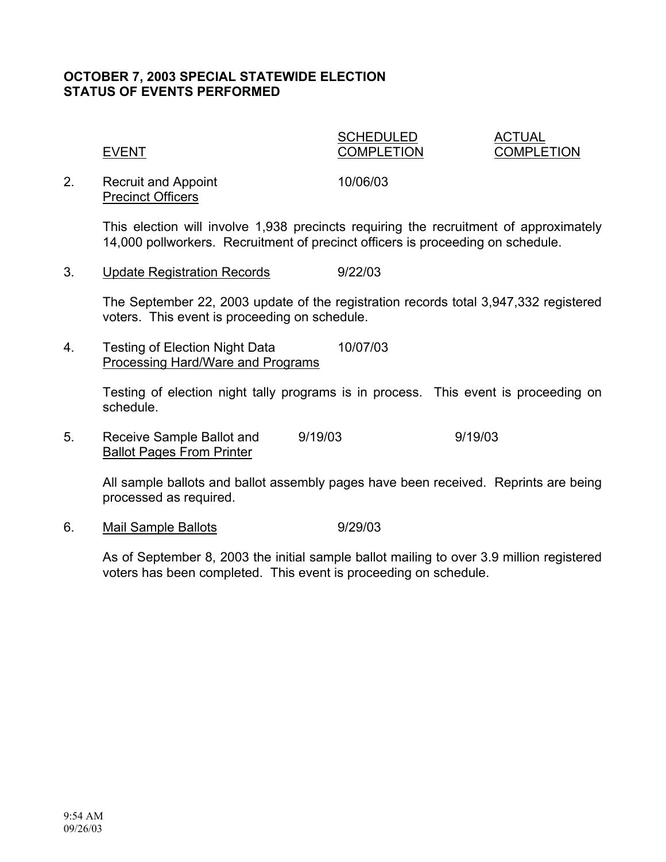### **OCTOBER 7, 2003 SPECIAL STATEWIDE ELECTION STATUS OF EVENTS PERFORMED**

SCHEDULED ACTUAL EVENT COMPLETION COMPLETION

2. Recruit and Appoint 10/06/03 Precinct Officers

This election will involve 1,938 precincts requiring the recruitment of approximately 14,000 pollworkers. Recruitment of precinct officers is proceeding on schedule.

3. Update Registration Records 9/22/03

The September 22, 2003 update of the registration records total 3,947,332 registered voters. This event is proceeding on schedule.

4. Testing of Election Night Data 10/07/03 Processing Hard/Ware and Programs

> Testing of election night tally programs is in process. This event is proceeding on schedule.

5. Receive Sample Ballot and 9/19/03 9/19/03 Ballot Pages From Printer

All sample ballots and ballot assembly pages have been received. Reprints are being processed as required.

6. Mail Sample Ballots 6. 9/29/03

As of September 8, 2003 the initial sample ballot mailing to over 3.9 million registered voters has been completed. This event is proceeding on schedule.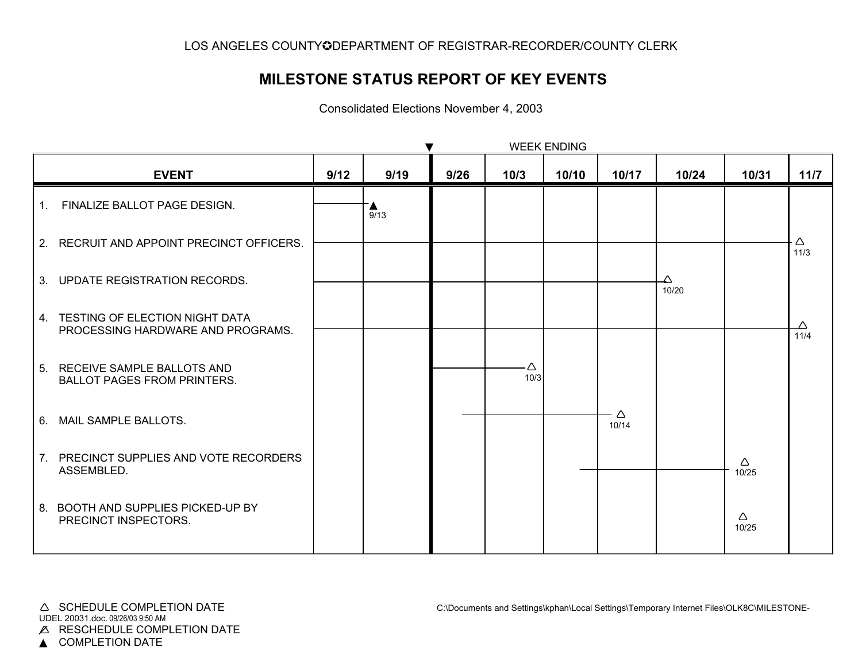## **MILESTONE STATUS REPORT OF KEY EVENTS**

Consolidated Elections November 4, 2003

|    |                                                                        | <b>WEEK ENDING</b> |      |      |           |       |            |            |            |           |  |
|----|------------------------------------------------------------------------|--------------------|------|------|-----------|-------|------------|------------|------------|-----------|--|
|    | <b>EVENT</b>                                                           | 9/12               | 9/19 | 9/26 | 10/3      | 10/10 | 10/17      | 10/24      | 10/31      | 11/7      |  |
| 1. | FINALIZE BALLOT PAGE DESIGN.                                           |                    | 9/13 |      |           |       |            |            |            |           |  |
|    | 2. RECRUIT AND APPOINT PRECINCT OFFICERS.                              |                    |      |      |           |       |            |            |            | Δ<br>11/3 |  |
|    | 3. UPDATE REGISTRATION RECORDS.                                        |                    |      |      |           |       |            | Δ<br>10/20 |            |           |  |
|    | 4. TESTING OF ELECTION NIGHT DATA<br>PROCESSING HARDWARE AND PROGRAMS. |                    |      |      |           |       |            |            |            | 11/4      |  |
|    | 5. RECEIVE SAMPLE BALLOTS AND<br><b>BALLOT PAGES FROM PRINTERS.</b>    |                    |      |      | Δ<br>10/3 |       |            |            |            |           |  |
|    | 6. MAIL SAMPLE BALLOTS.                                                |                    |      |      |           |       | Δ<br>10/14 |            |            |           |  |
|    | 7. PRECINCT SUPPLIES AND VOTE RECORDERS<br>ASSEMBLED.                  |                    |      |      |           |       |            |            | Δ<br>10/25 |           |  |
|    | 8. BOOTH AND SUPPLIES PICKED-UP BY<br>PRECINCT INSPECTORS.             |                    |      |      |           |       |            |            | Δ<br>10/25 |           |  |

▲ COMPLETION DATE